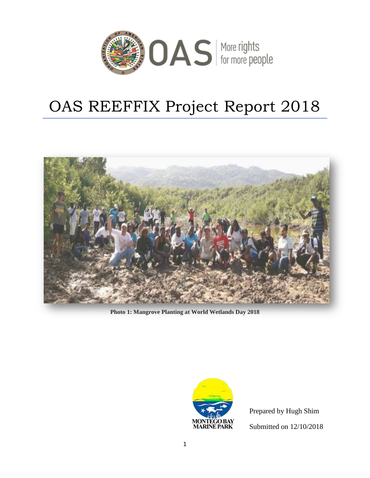

# OAS REEFFIX Project Report 2018



**Photo 1: Mangrove Planting at World Wetlands Day 2018**



Prepared by Hugh Shim Submitted on 12/10/2018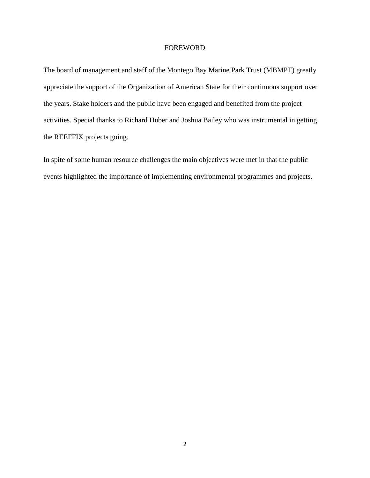## FOREWORD

The board of management and staff of the Montego Bay Marine Park Trust (MBMPT) greatly appreciate the support of the Organization of American State for their continuous support over the years. Stake holders and the public have been engaged and benefited from the project activities. Special thanks to Richard Huber and Joshua Bailey who was instrumental in getting the REEFFIX projects going.

In spite of some human resource challenges the main objectives were met in that the public events highlighted the importance of implementing environmental programmes and projects.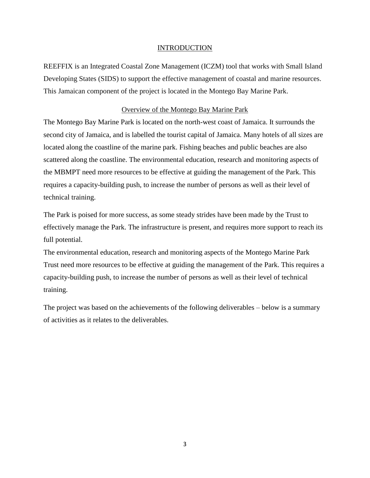## INTRODUCTION

REEFFIX is an Integrated Coastal Zone Management (ICZM) tool that works with Small Island Developing States (SIDS) to support the effective management of coastal and marine resources. This Jamaican component of the project is located in the Montego Bay Marine Park.

# Overview of the Montego Bay Marine Park

The Montego Bay Marine Park is located on the north-west coast of Jamaica. It surrounds the second city of Jamaica, and is labelled the tourist capital of Jamaica. Many hotels of all sizes are located along the coastline of the marine park. Fishing beaches and public beaches are also scattered along the coastline. The environmental education, research and monitoring aspects of the MBMPT need more resources to be effective at guiding the management of the Park. This requires a capacity-building push, to increase the number of persons as well as their level of technical training.

The Park is poised for more success, as some steady strides have been made by the Trust to effectively manage the Park. The infrastructure is present, and requires more support to reach its full potential.

The environmental education, research and monitoring aspects of the Montego Marine Park Trust need more resources to be effective at guiding the management of the Park. This requires a capacity-building push, to increase the number of persons as well as their level of technical training.

The project was based on the achievements of the following deliverables – below is a summary of activities as it relates to the deliverables.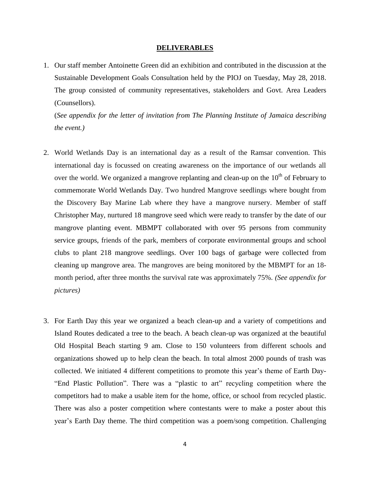#### **DELIVERABLES**

1. Our staff member Antoinette Green did an exhibition and contributed in the discussion at the Sustainable Development Goals Consultation held by the PIOJ on Tuesday, May 28, 2018. The group consisted of community representatives, stakeholders and Govt. Area Leaders (Counsellors).

(*See appendix for the letter of invitation from The Planning Institute of Jamaica describing the event.)*

- 2. World Wetlands Day is an international day as a result of the Ramsar convention. This international day is focussed on creating awareness on the importance of our wetlands all over the world. We organized a mangrove replanting and clean-up on the  $10<sup>th</sup>$  of February to commemorate World Wetlands Day. Two hundred Mangrove seedlings where bought from the Discovery Bay Marine Lab where they have a mangrove nursery. Member of staff Christopher May, nurtured 18 mangrove seed which were ready to transfer by the date of our mangrove planting event. MBMPT collaborated with over 95 persons from community service groups, friends of the park, members of corporate environmental groups and school clubs to plant 218 mangrove seedlings. Over 100 bags of garbage were collected from cleaning up mangrove area. The mangroves are being monitored by the MBMPT for an 18 month period, after three months the survival rate was approximately 75%. *(See appendix for pictures)*
- 3. For Earth Day this year we organized a beach clean-up and a variety of competitions and Island Routes dedicated a tree to the beach. A beach clean-up was organized at the beautiful Old Hospital Beach starting 9 am. Close to 150 volunteers from different schools and organizations showed up to help clean the beach. In total almost 2000 pounds of trash was collected. We initiated 4 different competitions to promote this year's theme of Earth Day- "End Plastic Pollution". There was a "plastic to art" recycling competition where the competitors had to make a usable item for the home, office, or school from recycled plastic. There was also a poster competition where contestants were to make a poster about this year's Earth Day theme. The third competition was a poem/song competition. Challenging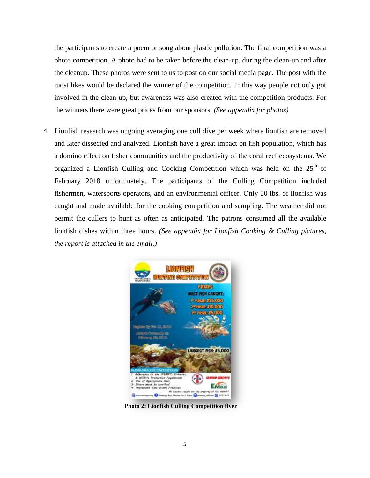the participants to create a poem or song about plastic pollution. The final competition was a photo competition. A photo had to be taken before the clean-up, during the clean-up and after the cleanup. These photos were sent to us to post on our social media page. The post with the most likes would be declared the winner of the competition. In this way people not only got involved in the clean-up, but awareness was also created with the competition products. For the winners there were great prices from our sponsors. *(See appendix for photos)*

4. Lionfish research was ongoing averaging one cull dive per week where lionfish are removed and later dissected and analyzed. Lionfish have a great impact on fish population, which has a domino effect on fisher communities and the productivity of the coral reef ecosystems. We organized a Lionfish Culling and Cooking Competition which was held on the  $25<sup>th</sup>$  of February 2018 unfortunately. The participants of the Culling Competition included fishermen, watersports operators, and an environmental officer. Only 30 lbs. of lionfish was caught and made available for the cooking competition and sampling. The weather did not permit the cullers to hunt as often as anticipated. The patrons consumed all the available lionfish dishes within three hours. *(See appendix for Lionfish Cooking & Culling pictures, the report is attached in the email.)*



**Photo 2: Lionfish Culling Competition flyer**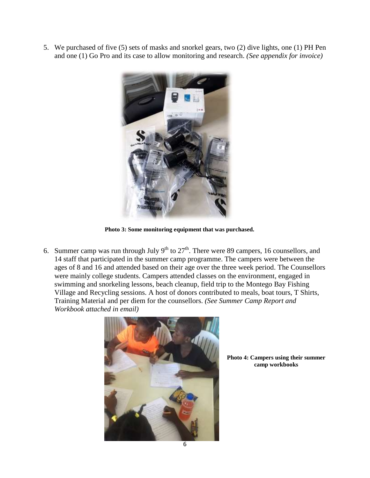5. We purchased of five (5) sets of masks and snorkel gears, two (2) dive lights, one (1) PH Pen and one (1) Go Pro and its case to allow monitoring and research. *(See appendix for invoice)*



**Photo 3: Some monitoring equipment that was purchased.**

6. Summer camp was run through July  $9<sup>th</sup>$  to  $27<sup>th</sup>$ . There were 89 campers, 16 counsellors, and 14 staff that participated in the summer camp programme. The campers were between the ages of 8 and 16 and attended based on their age over the three week period. The Counsellors were mainly college students. Campers attended classes on the environment, engaged in swimming and snorkeling lessons, beach cleanup, field trip to the Montego Bay Fishing Village and Recycling sessions. A host of donors contributed to meals, boat tours, T Shirts, Training Material and per diem for the counsellors. *(See Summer Camp Report and Workbook attached in email)*



**Photo 4: Campers using their summer camp workbooks**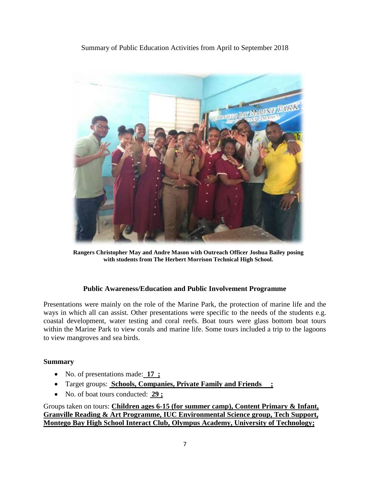Summary of Public Education Activities from April to September 2018



**Rangers Christopher May and Andre Mason with Outreach Officer Joshua Bailey posing with students from The Herbert Morrison Technical High School.**

# **Public Awareness/Education and Public Involvement Programme**

Presentations were mainly on the role of the Marine Park, the protection of marine life and the ways in which all can assist. Other presentations were specific to the needs of the students e.g. coastal development, water testing and coral reefs. Boat tours were glass bottom boat tours within the Marine Park to view corals and marine life. Some tours included a trip to the lagoons to view mangroves and sea birds.

# **Summary**

- No. of presentations made: **17 ;**
- Target groups: **Schools, Companies, Private Family and Friends ;**
- No. of boat tours conducted: **29 ;**

Groups taken on tours: **Children ages 6-15 (for summer camp), Content Primary & Infant, Granville Reading & Art Programme, IUC Environmental Science group, Tech Support, Montego Bay High School Interact Club, Olympus Academy, University of Technology;**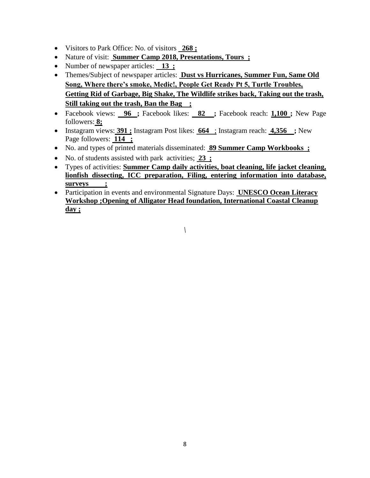- Visitors to Park Office: No. of visitors **268 ;**
- Nature of visit: **Summer Camp 2018, Presentations, Tours ;**
- Number of newspaper articles: **13** ;
- Themes/Subject of newspaper articles: **Dust vs Hurricanes, Summer Fun, Same Old Song, Where there's smoke, Medic!, People Get Ready Pt 5, Turtle Troubles, Getting Rid of Garbage, Big Shake, The Wildlife strikes back, Taking out the trash, Still taking out the trash, Ban the Bag ;**
- Facebook views: **96 ;** Facebook likes: **82 ;** Facebook reach: **1,100 ;** New Page followers: **8;**
- Instagram views: **391 ;** Instagram Post likes: **664** ; Instagram reach: **4,356 ;** New Page followers: **114 ;**
- No. and types of printed materials disseminated: **89 Summer Camp Workbooks ;**
- No. of students assisted with park activities; **23 ;**
- Types of activities: **Summer Camp daily activities, boat cleaning, life jacket cleaning, lionfish dissecting, ICC preparation, Filing, entering information into database, surveys ;**
- Participation in events and environmental Signature Days: **UNESCO Ocean Literacy Workshop ;Opening of Alligator Head foundation, International Coastal Cleanup day ;**

*\*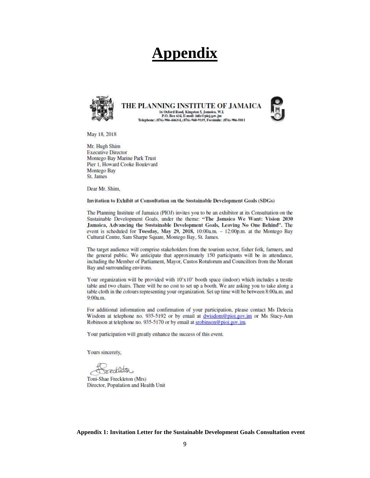# **Appendix**



THE PLANNING INSTITUTE OF JAMAICA 16 Oxford Road, Kingston 5, Jamaica, W.I.<br>P.O. Box 634, E-mail: info@pioj.gov.jm<br>Telephone: (876)-906-4463/4, (876)-960-9339, Facsimile: (876)-906-5011



May 18, 2018

Mr. Hugh Shim **Executive Director** Montego Bay Marine Park Trust Pier 1, Howard Cooke Boulevard Montego Bay St. James

Dear Mr. Shim,

Invitation to Exhibit at Consultation on the Sustainable Development Goals (SDGs)

The Planning Institute of Jamaica (PIOJ) invites you to be an exhibitor at its Consultation on the Sustainable Development Goals, under the theme: "The Jamaica We Want: Vision 2030 Jamaica, Advancing the Sustainable Development Goals, Leaving No One Behind". The event is scheduled for Tuesday, May 29, 2018, 10:00a.m. - 12:00p.m. at the Montego Bay Cultural Centre, Sam Sharpe Square, Montego Bay, St. James.

The target audience will comprise stakeholders from the tourism sector, fisher folk, farmers, and the general public. We anticipate that approximately 150 participants will be in attendance, including the Member of Parliament, Mayor, Custos Rotulorum and Councillors from the Morant Bay and surrounding environs.

Your organization will be provided with 10'x10' booth space (indoor) which includes a trestle table and two chairs. There will be no cost to set up a booth. We are asking you to take along a table cloth in the colours representing your organization. Set up time will be between 8:00a.m. and 9:00a.m.

For additional information and confirmation of your participation, please contact Ms Delecia Wisdom at telephone no. 935-5192 or by email at dwisdom@pioi.gov.jm or Ms Stacy-Ann Robinson at telephone no. 935-5170 or by email at srobinson@pioj.gov.jm.

Your participation will greatly enhance the success of this event.

Yours sincerely,

Toni-Shae Freckleton (Mrs) Director, Population and Health Unit

**Appendix 1: Invitation Letter for the Sustainable Development Goals Consultation event**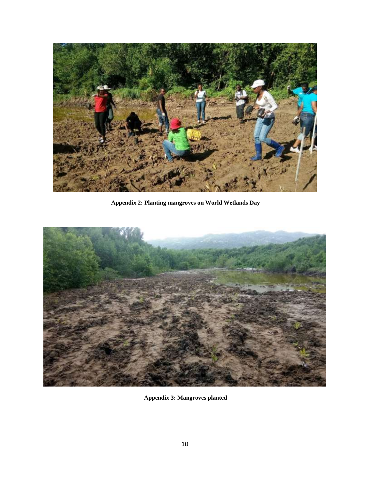

**Appendix 2: Planting mangroves on World Wetlands Day**



**Appendix 3: Mangroves planted**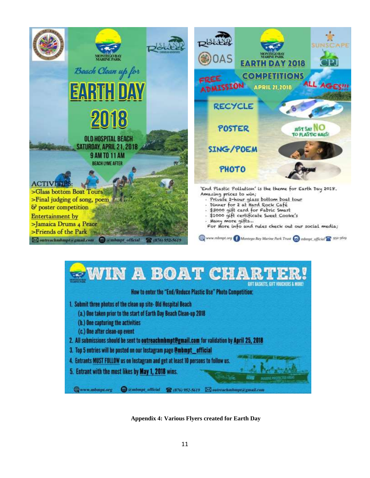



Amazing prices to win;

- Private 2-hour glass bottom boat tour
- Dinner for 2 at Hard Rock Café<br>\$3000 gift card for Fabric Smart
- 
- \$1000 gift certificate Sweet Cooke's
- Many more gifts ...

For More info and rules check out our social media;

www.mbmpt.org & Montego Bay Marine Park Trust (c) mbmpt\_official 232-5619



**Appendix 4: Various Flyers created for Earth Day**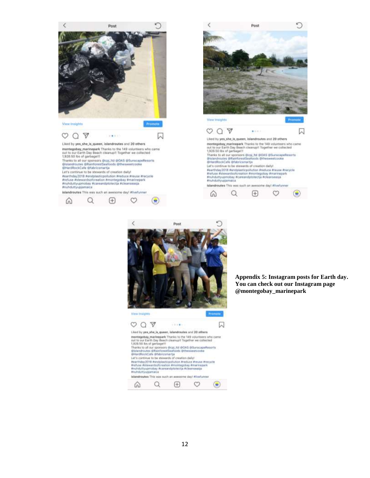





#### **Appendix 5: Instagram posts for Earth day. You can check out our Instagram page @montegobay\_marinepark**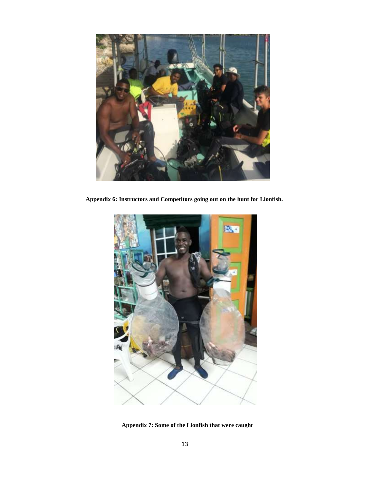

**Appendix 6: Instructors and Competitors going out on the hunt for Lionfish.**



**Appendix 7: Some of the Lionfish that were caught**